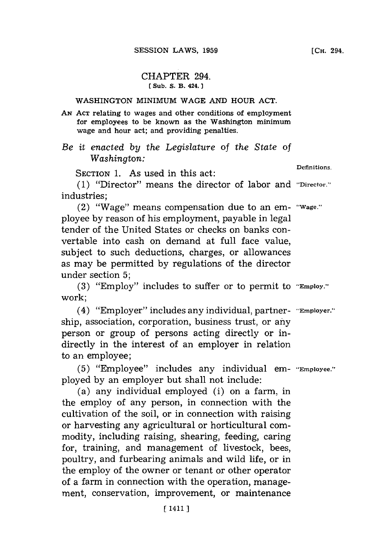## CHAPTER 294. **(Sub. S. B. 424.**

## WASHINGTON MINIMUM **WAGE AND** HOUR **ACT.**

**AN ACT** relating to wages and other conditions of employment for employees to be known as the Washington minimum wage and hour act; and providing penalties.

## *Be it enacted by the Legislature* of *the State of Washington:*

SECTION 1. As used in this act: Definitions.

**(1)** "Director" means the director of labor and **"Director."'** industries;

(2) "Wage" means compensation due to an em- **"Wage."** ployee **by** reason of his employment, payable in legal tender of the United States or checks on banks convertable into cash on demand at full face value, subject to such deductions, charges, or allowances as may be permitted **by** regulations of the director under section **5;**

**(3)** "Employ" includes to suffer or to permit to **"Employ."** work;

(4) "Employer" includes any individual, partner- **"Employer."** ship, association, corporation, business trust, or any person or group of persons acting directly or indirectly in the interest of an employer in relation to an employee;

**(5)** "Employee" includes any individual em- **"Employee."** ployed **by** an employer but shall not include:

(a) any individual employed (i) on a farm, in the employ of any person, in connection with the cultivation of the soil, or in connection with raising or harvesting any agricultural or horticultural commodity, including raising, shearing, feeding, caring for, training, and management of livestock, bees, poultry, and furbearing animals and wild life, or in the employ of the owner or tenant or other operator of a farm in connection with the operation, management, conservation, improvement, or maintenance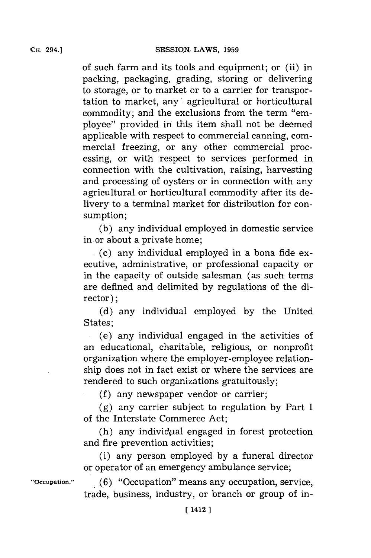**CH.** 294.1

of such farm and its tools and equipment; or (ii) in packing, packaging, grading, storing or delivering to storage, or to market or to a carrier for transportation to market, any' agricultural or horticultural commodity; and the exclusions from the term "employee" provided in this item shall not be deemed applicable with respect to commercial canning, commercial freezing, or any other commercial processing, or with respect to services performed in connection with the cultivation, raising, harvesting and processing of oysters or in connection with any agricultural or horticultural commodity after its delivery to a terminal market for distribution for consumption;

**(b)** any individual employed in domestic service in. or about a private home;

 $(c)$  any individual employed in a bona fide executive, administrative, or professional capacity or in the capacity of outside salesman (as such terms are defined and delimited **by** regulations of the director);

**(d)** any individual employed **by** the United States;

.(e) any individual engaged in the activities of an educational, charitable, religious, or nonprofit organization where the employer-employee relationship does not in fact exist or where the services are rendered to such organizations gratuitously;

**(f)** any newspaper vendor or carrier;

**(g)** any carrier subject to regulation **by** Part I of the Interstate Commerce Act;

 $(h)$  any individual engaged in forest protection and fire prevention activities;

(i) any person employed **by** a funeral director or operator of an emergency ambulance service;

**"Occupation." (6)** "Occupation" means any occupation, service, trade, business, industry, or branch or group of in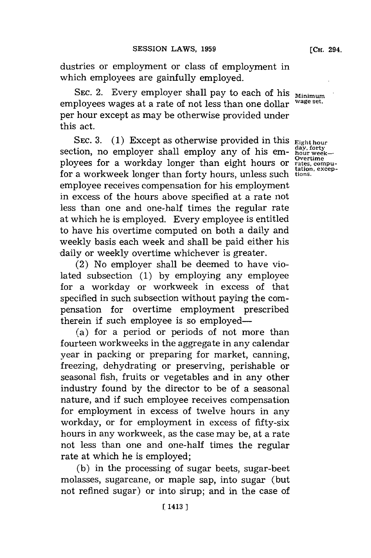dustries or employment or class of employment in which employees are gainfully employed.

SEC. 2. Every employer shall pay to each of his **Minimum**<br>playses up gas at a note of not less than and all wave set. employees wages at a rate of not less than one dollar per hour except as may be otherwise provided under this act.

SEC. 3. (1) Except as otherwise provided in this **Eighthour**<br>tion, no employer shall employ any of his em-<br>nour week-<br>none for a worldow longer than eight hours or <sup>Overtime</sup> section, no employer shall employ any of his employees for a workday longer than eight hours or rates, compufor a workweek longer than forty hours, unless such tions. employee receives compensation for his employment in excess of the hours above specified at a rate not less than one and one-half times the regular rate at which he is employed. Every employee is entitled to have his overtime computed on both a daily and weekly basis each week and shall be paid either his daily or weekly overtime whichever is greater.

(2) No employer shall be deemed to have violated subsection **(1) by** employing any employee for a workday or workweek in excess of that specified in such subsection without paying the compensation for overtime employment prescribed therein if such employee is so employed-

(a) for a period or periods of not more than fourteen workweeks in the aggregate in any calendar year in packing or preparing for market, canning, freezing, dehydrating or preserving, perishable or seasonal fish, fruits or vegetables and in any other industry found **by** the director to be of a seasonal nature, and if such employee receives compensation for employment in excess of twelve hours in any workday, or for employment in excess of fifty-six hours in any workweek, as the case may be, at a rate not less than one and one-half times the regular rate at which he is employed;

**(b)** in the processing of sugar beets, sugar-beet molasses, sugarcane, or maple sap, into sugar (but not refined sugar) or into sirup; and in the case of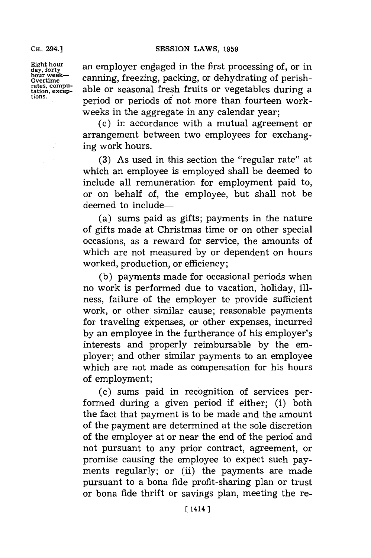SESSION LAWS, 1959

Eight hour<br>day, forty<br>hour week-<br>hour week-<br>compion freezing mostling on debarduating of notice hour week- **canning, freezing, packing, or dehydrating of perish**rates, computer able or seasonal fresh fruits or vegetables during a tions. period or periods of not more than fourteen workweeks in the aggregate in any calendar year;

(c) in accordance with a mutual agreement or arrangement between two employees for exchanging work hours.

**(3)** As used in this section the "regular rate" at which an employee is employed shall be deemed to include all remuneration for employment paid to, or on behalf of, the employee, but shall not be deemed to include-

(a) sums paid as gifts; payments in the nature of gifts made at Christmas time or on other special occasions, as a reward for service, the amounts of which are not measured **by** or dependent on hours worked, production, or efficiency;

**(b)** payments made for occasional periods when no work is performed due to vacation, holiday, illness, failure of the employer to provide sufficient work, or other similar cause; reasonable payments for traveling expenses, or other expenses, incurred **by** an employee in the furtherance of his employer's interests and properly reimbursable **by** the employer; and other similar payments to an employee which are not made as compensation for his hours of employment;

(c) sums paid in recognition of services performed during a given period if either; (i) both the fact that payment is to be made and the amount of the payment are determined at the sole discretion of the employer at or near the end of the period and not pursuant to any prior contract, agreement, or promise causing the employee to expect such payments regularly; or (ii) the payments are made pursuant to a bona fide profit-sharing plan or trust or bona fide thrift or savings plan, meeting the re-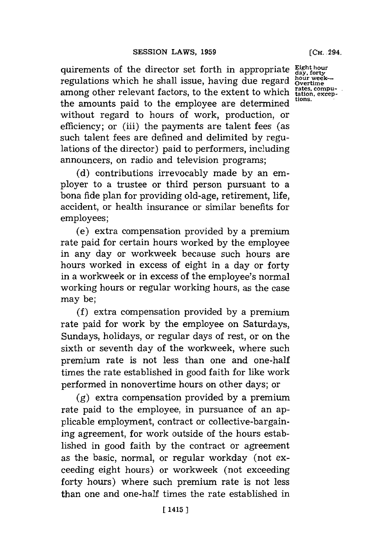quirements of the director set forth in appropriate **Eight hour day, forty** regulations which he shall issue, having due regard bour we among other relevant factors, to the extent to which  $_{\text{tations}}^{\text{rates, compu-}}$ the amounts paid to the employee are determined **tions.** without regard to hours of work, production, or efficiency; or (iii) the payments are talent fees (as such talent fees are defined and delimited **by** regulations of the director) paid to performers, including announcers, on radio and television programs;

**(d)** contributions irrevocably made **by** an employer to a trustee or third person pursuant to a bona fide plan for providing old-age, retirement, life, accident, or health insurance or similar benefits for employees;

(e) extra compensation provided **by** a premium rate paid for certain hours worked **by** the employee in any day or workweek because such hours are hours worked in excess of eight in a day or forty in a workweek or in excess of the employee's normal working hours or regular working hours, as the case may be;

**(f)** extra compensation provided **by** a premium rate paid for work **by** the employee on Saturdays, Sundays, holidays, or regular days of rest, or on the sixth or seventh day of the workweek, where such premium rate is not less than one and one-half times the rate established in good faith for like work performed in nonovertime hours on other days; or

**(g)** extra compensation provided **by** a premium rate paid to the employee, in pursuance of an applicable employment, contract or collective-bargaining agreement, for work outside of the hours established in good faith **by** the contract or agreement as the basic, normal, or regular workday (not exceeding eight hours) or workweek (not exceeding forty hours) where such premium rate is not less than one and one-half times the rate established in

**[CH.** .294.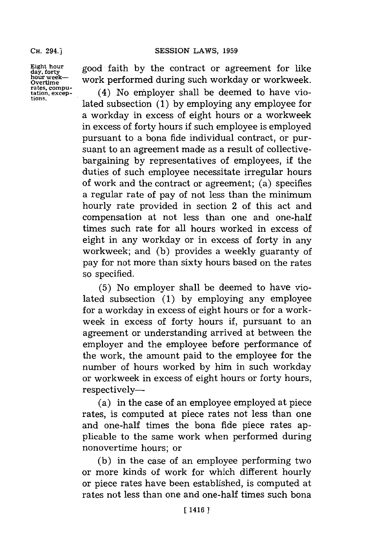$\frac{\text{Eight hour}}{\text{day, forty}}$  good faith by the contract or agreement for like hour week-- work performed during such workday or workweek. **bour week-** work performed during such workday or workweek.

rates, compu-<br>tation, excep- (4) No employer shall be deemed to have vio-<br>tions. lated subsection (1) by employing any employee for a workday in excess of eight hours or a workweek in excess of forty hours if such employee is employed pursuant to a bona fide individual contract, or pursuant to an agreement made as a result of collectivebargaining **by** representatives of employees, if the duties of such employee necessitate irregular hours of work and the contract or agreement; (a) specifies a regular rate of pay of not less than the minimum hourly rate provided in section 2 of this act and compensation at not less than one and one-hall times such rate for all hours worked in excess of eight in any workday or in excess of forty in any workweek; and **(b)** provides a weekly guaranty of pay for not more than sixty hours based on the rates so specified.

> **(5)** No employer shall be deemed to have violated subsection **(1) by** employing any employee for a workday in excess of eight hours or for a workweek in excess of forty hours if, pursuant to an agreement or understanding arrived at between the employer and the employee before performance of the work, the amount paid to the employee for the number of hours worked **by** him in such workday or workweek in excess of eight hours or forty hours, respectively-

> (a) in the case of an employee employed at piece rates, is computed at piece rates not less than one and one-half times the bona fide piece rates applicable to the same work when performed during nonovertime hours; or

> **(b)** in the case of an employee performing two or more kinds of work for which different hourly or piece rates have been established, is computed at rates not less than one and one-half times such bona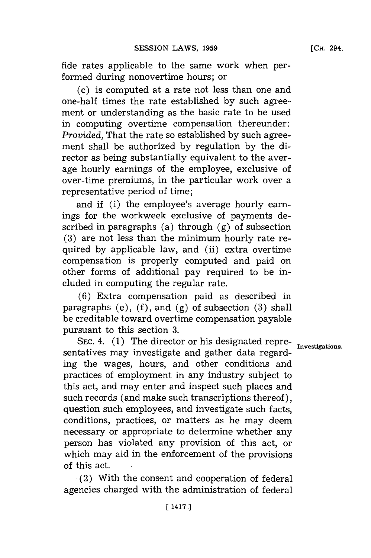fide rates applicable to the same work when performed during nonovertime hours; or

(c) is computed at a rate not less than one and one-half times the rate established **by** such agreement or understanding as the basic rate to be used in computing overtime compensation thereunder: *Provided,* That the rate so established **by** such agreement shall be authorized **by** regulation **by** the director as being substantially equivalent to the average hourly earnings of the employee, exclusive of over-time premiums, in the particular work over a representative period of time;

and if (i) the employee's average hourly earnings for the workweek exclusive of payments described in paragraphs (a) through **(g)** of subsection **(3)** are not less than the minimum hourly rate required **by** applicable law, and (ii) extra overtime compensation is properly computed and paid on other forms of additional pay required to be included in computing the regular rate.

**(6)** Extra compensation paid as described in paragraphs (e), **(f),** and **(g)** of subsection **(3)** shall be creditable toward overtime compensation payable pursuant to this section **3.**

SEC. 4. (1) The director or his designated repre-<br>
Investigations sentatives may investigate and gather data regarding the wages, hours, and other conditions and practices of employment in any industry subject to this act, and may enter and inspect such places and such records (and make such transcriptions thereof), question such employees, and investigate such facts, conditions, practices, or matters as he may deem necessary or appropriate to determine whether any person has violated any provision of this act, or which may aid in the enforcement of the provisions of this act.

(2) With the consent and cooperation of federal agencies charged with the administration of federal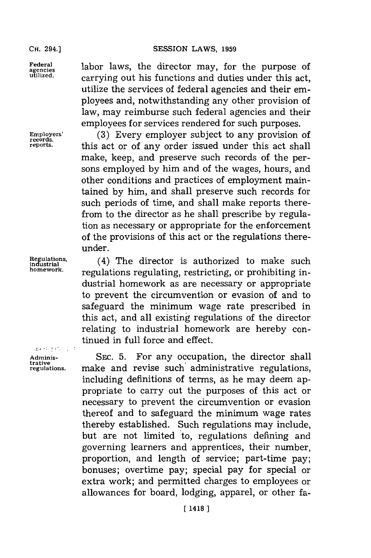CH. 294.1

**trative**

**Federal** labor laws, the director may, for the purpose of **agencies** carrying out his functions and duties under this act, utilize the services of federal agencies and their employees and, notwithstanding any other provision of law, may reimburse such federal agencies and their employees **for** services rendered for such purposes.

**Employers' (3)** Every employer subject to any provision of **reports,** this act or of any order issued under this act shall make, keep, and preserve such records of the persons employed **by** him and of the wages, hours, and other conditions and practices of employment maintained **by** him, and shall preserve such records for such periods of time, and shall make reports therefrom to the director as he shall prescribe **by** regulation as necessary or appropriate for the enforcement of the provisions of this act or the regulations thereunder.

Regulations, (4) The director is authorized to make such<br>industrial **industrial conductions** not industrial contractions in regulations regulating, restricting, or prohibiting industrial homework as are necessary or appropriate to prevent the circumvention or evasion of and to safeguard the minimum wage rate prescribed in this act, and all existing regulations of the director relating to industrial homework are hereby continued in full force and effect.

**Adminis-** SEC. **5.** For any occupation, the director shall make and revise such administrative regulations, including definitions of terms, as he may deem appropriate to carry out the purposes of this act or necessary to prevent the circumvention or evasion thereof and to safeguard the minimum wage rates thereby established. Such regulations may include, but are not limited to, regulations defining and governing learners and apprentices, their number, proportion, and length of service; part-time pay; bonuses; overtime pay; special pay for special or extra work; and permitted charges to employees or allowances for board, lodging, apparel, or other fa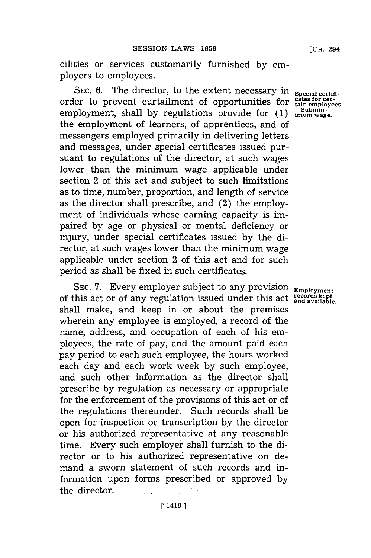cilities or services customarily furnished **by** employers to employees.

SEC. 6. The director, to the extent necessary in special certifiorder to prevent curtailment of opportunities for cates for cer-<br>
comployment, shall by requlations provide for (1)  $\frac{5 \text{ wbin} - 1}{2}$ employment, shall **by** regulations provide for **(1) imum wage.** the employment of learners, of apprentices, and of messengers employed primarily in delivering letters and messages, under special certificates issued pursuant to regulations of the director, at such wages lower than the minimum wage applicable under section 2 of this act and subject to such limitations as to time, number, proportion, and length of service as the director shall prescribe, and (2) the employment of individuals whose earning capacity is impaired **by** age or physical or mental deficiency or injury, under special certificates issued **by** the director, at such wages lower than the minimum wage applicable under section 2 of this act and for such period as shall be fixed in such certificates.

SEC. 7. Every employer subject to any provision **Employment** of this act or of any regulation issued under this act **records kept** shall make, and keep in or about the premises wherein any employee is employed, a record of the name, address, and occupation of each of his employees, the rate of pay, and the amount paid each pay period to each such employee, the hours worked each day and each work week **by** such employee, and such other information as the director shall prescribe **by** regulation as necessary or appropriate for the enforcement of the provisions of this act or of the regulations thereunder. Such records shall be open for inspection or transcription **by** the director or his authorized representative at any reasonable time. Every such employer shall furnish to the director or to his authorized representative on demand a sworn statement of such records and information upon forms prescribed or approved **by** the director.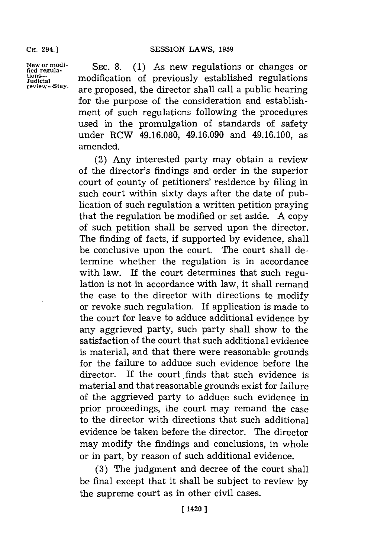New or modi-<br>fied regula-<br>SEC. 8. (1) As new regulations or changes or Judiial modification of previously established regulations **review-Stay,** are proposed, the director shall call a public hearing for the purpose of the consideration and establishment of such regulations following the procedures used in the promulgation of standards of safety under RCW **49.16.080,** 49.16.090 and 49.16.100, as amended.

> (2) Any interested party may obtain a review of the director's findings and order in the superior court of county of petitioners' residence **by** filing in such court within sixty days after the date of publication of such regulation a written petition praying that the regulation be modified or set aside. **A** copy of such petition shall be served upon the director. The finding of facts, if supported **by** evidence, shall be conclusive upon the court. The court shall determine whether the regulation is in accordance with law. If the court determines that such regulation is not in accordance with law, it shall remand the case to the director with directions to modify or revoke such regulation. If application is made to the court for leave to adduce additional evidence **by** any aggrieved party, such party shall show to the satisfaction of the court that such additional evidence is material, and that there were reasonable grounds for the failure to adduce such evidence before the director. If the court finds that such evidence is material and that reasonable grounds exist for failure of the aggrieved party to adduce such evidence in prior proceedings, the court may remand the case to the director with directions that such additional evidence be taken before the director. The director may modify the findings and conclusions, in whole or in part, **by** reason of such additional evidence.

> **(3)** The judgment and decree of the court shall be final except that it shall be subject to review **by** the supreme court as in other civil cases.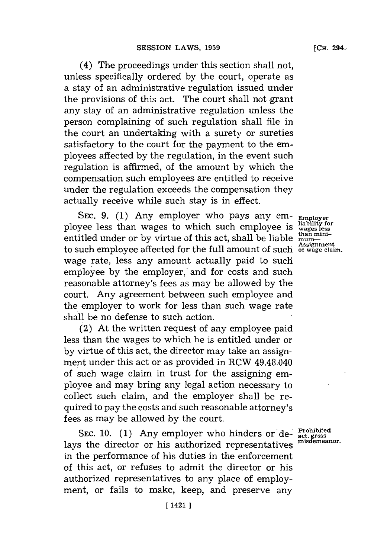(4) The proceedings under this section shall not, unless specifically ordered **by** the court, operate as a stay of an administrative regulation issued under the provisions of this act. The court shall not grant any stay of an administrative regulation unless the person complaining of such regulation shall file in the court an undertaking with a surety or sureties satisfactory to the court for the payment to the employees affected **by** the regulation, in the event such regulation is affirmed, of the amount **by** which the compensation such employees are entitled to receive under the regulation exceeds the compensation they actually receive while such stay is in effect.

**SEC. 9. (1)** Any employer who pays any employee less than wages to which such employee is entitled under or **by** virtue of this act, shall be liable to such employee affected for the full amount of such of wage claim. wage rate, less any amount actually paid to such employee **by** the employer, and for costs and such reasonable attorney's fees as may be allowed **by** the court. Any agreement between such employee and the employer to work for less than such wage rate shall be no defense to such action.

(2) At the written request of any employee paid less than the wages to which he is entitled under or **by** virtue of this act, the director may take an assignment under this act or as provided in RCW 49.48.040 of such wage claim in trust for the assigning employee and may bring any legal action necessary to collect such claim, and the employer shall be required to pay the costs and such reasonable attorney's fees as may be allowed **by** the court.

SEC. 10. (1) Any employer who hinders or de-<br>
inisdemeanor. lays the director or his authorized representatives in the performance of his duties in the enforcement of this act, or refuses to admit the director or his authorized representatives to any place of employment, or fails to make, keep, and preserve any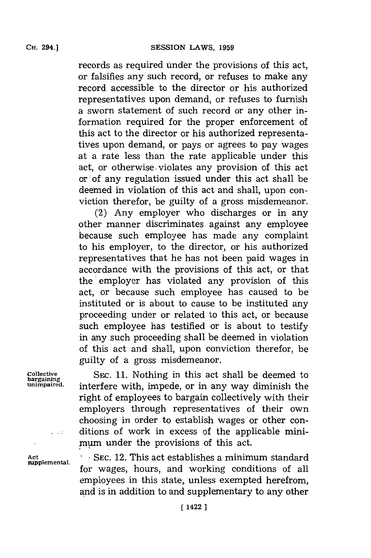records as required under the provisions of this act, or falsifies any such record, or refuses to make any record accessible to the director or his authorized representatives upon demand, or refuses to furnish a sworn statement of such record or any other information required for the proper enforcement of this act to the director or his authorized representa-

tives upon demand, or pays or agrees to pay wages at a rate less than the rate applicable under this act, or otherwise violates any provision of this act or'of any regulation issued under this act shall be deemed in violation of this act and shall, upon conviction therefor, be guilty of a gross misdemeanor.

(2) Any employer who discharges or in any other manner discriminates against any employee because such employee has made any complaint to his employer, to the director, or his authorized representatives that he has not been paid wages in accordance with the provisions of this act, or that the employer has violated any provision of this act, or because such employee has caused to be instituted or is about to cause to be instituted any proceeding under or related to this act, or because such employee has testified or is about to testify in any such proceeding shall be deemed in violation of this act and shall, upon conviction therefor, be guilty of a gross misdemeanor.

**Collective SEC. 11.** Nothing in this act shall be deemed to **bargainng** interfere with, impede, or in any way diminish the right of employees to bargain collectively with their employers through representatives of their own choosing in order to establish wages or other conditions of work in excess of the applicable minimum under the provisions of this act.

Act **SEC. 12. This act establishes a minimum standard** for wages, hours, and working conditions of all employees in this state, unless exempted herefrom, and is in addition to and supplementary to any other

 $\sim 100$  km

**CH.** 294.]